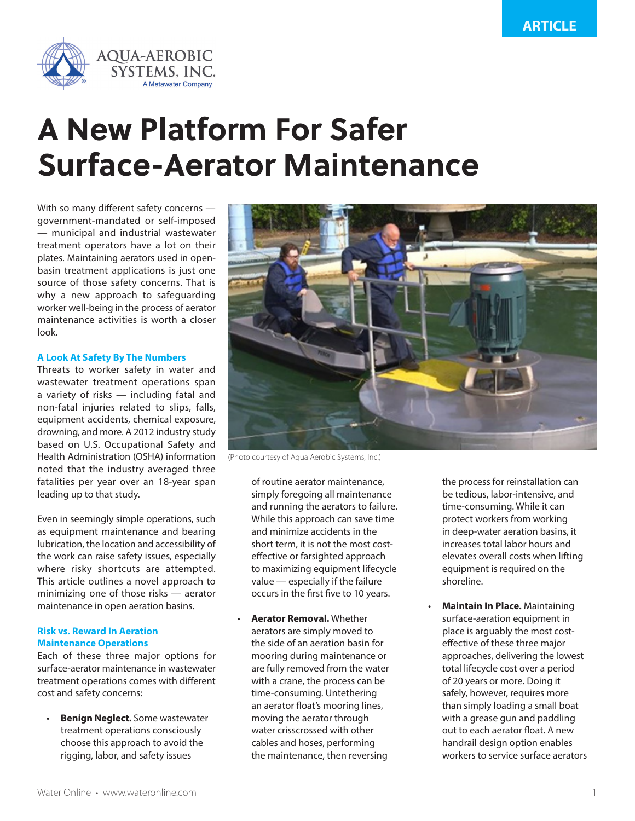

# **A New Platform For Safer Surface-Aerator Maintenance**

With so many different safety concerns government-mandated or self-imposed — municipal and industrial wastewater treatment operators have a lot on their plates. Maintaining aerators used in openbasin treatment applications is just one source of those safety concerns. That is why a new approach to safeguarding worker well-being in the process of aerator maintenance activities is worth a closer look.

## **A Look At Safety By The Numbers**

Threats to worker safety in water and wastewater treatment operations span a variety of risks — including fatal and non-fatal injuries related to slips, falls, equipment accidents, chemical exposure, drowning, and more. A 2012 industry study based on U.S. Occupational Safety and Health Administration (OSHA) information noted that the industry averaged three fatalities per year over an 18-year span leading up to that study.

Even in seemingly simple operations, such as equipment maintenance and bearing lubrication, the location and accessibility of the work can raise safety issues, especially where risky shortcuts are attempted. This article outlines a novel approach to minimizing one of those risks — aerator maintenance in open aeration basins.

## **Risk vs. Reward In Aeration Maintenance Operations**

Each of these three major options for surface-aerator maintenance in wastewater treatment operations comes with different cost and safety concerns:

• **Benign Neglect.** Some wastewater treatment operations consciously choose this approach to avoid the rigging, labor, and safety issues



(Photo courtesy of Aqua Aerobic Systems, Inc.)

of routine aerator maintenance, simply foregoing all maintenance and running the aerators to failure. While this approach can save time and minimize accidents in the short term, it is not the most costeffective or farsighted approach to maximizing equipment lifecycle value — especially if the failure occurs in the first five to 10 years.

• **Aerator Removal.** Whether aerators are simply moved to the side of an aeration basin for mooring during maintenance or are fully removed from the water with a crane, the process can be time-consuming. Untethering an aerator float's mooring lines, moving the aerator through water crisscrossed with other cables and hoses, performing the maintenance, then reversing

the process for reinstallation can be tedious, labor-intensive, and time-consuming. While it can protect workers from working in deep-water aeration basins, it increases total labor hours and elevates overall costs when lifting equipment is required on the shoreline.

• **Maintain In Place.** Maintaining surface-aeration equipment in place is arguably the most costeffective of these three major approaches, delivering the lowest total lifecycle cost over a period of 20 years or more. Doing it safely, however, requires more than simply loading a small boat with a grease gun and paddling out to each aerator float. A new handrail design option enables workers to service surface aerators